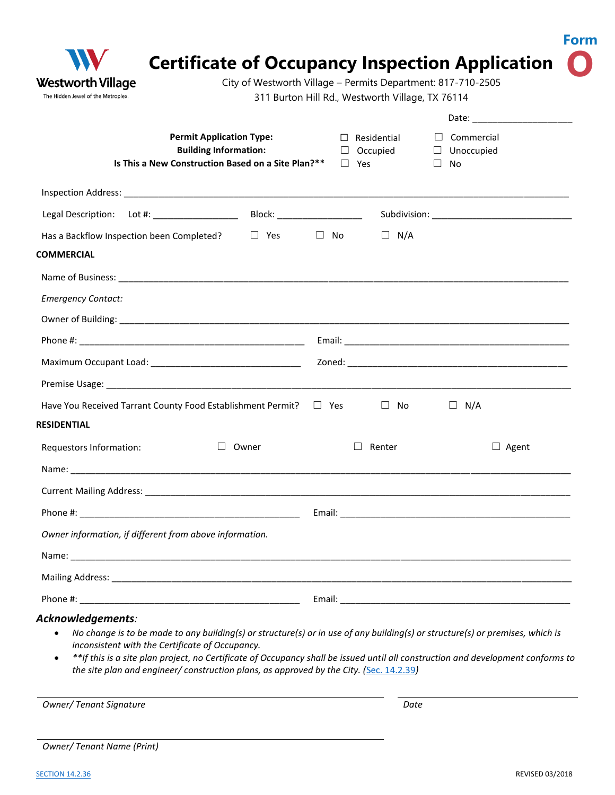| Westworth Village<br>The Hidden Jewel of the Metroplex.                                                               | City of Westworth Village - Permits Department: 817-710-2505<br>311 Burton Hill Rd., Westworth Village, TX 76114 |  |
|-----------------------------------------------------------------------------------------------------------------------|------------------------------------------------------------------------------------------------------------------|--|
|                                                                                                                       | Date: ________________________                                                                                   |  |
| <b>Permit Application Type:</b><br><b>Building Information:</b><br>Is This a New Construction Based on a Site Plan?** | Commercial<br>$\Box$ Residential<br>$\Box$ Occupied<br>□ Unoccupied<br>$\Box$ Yes<br>$\Box$<br>No                |  |
|                                                                                                                       |                                                                                                                  |  |
|                                                                                                                       |                                                                                                                  |  |
| $\Box$ Yes<br>Has a Backflow Inspection been Completed?                                                               | $\square$ No<br>$\Box$ N/A                                                                                       |  |
| <b>COMMERCIAL</b>                                                                                                     |                                                                                                                  |  |
|                                                                                                                       |                                                                                                                  |  |
| <b>Emergency Contact:</b>                                                                                             |                                                                                                                  |  |
|                                                                                                                       |                                                                                                                  |  |
|                                                                                                                       |                                                                                                                  |  |
|                                                                                                                       |                                                                                                                  |  |
|                                                                                                                       |                                                                                                                  |  |
| Have You Received Tarrant County Food Establishment Permit?                                                           | $\Box$ No<br>$\Box$<br>N/A<br>$\Box$ Yes                                                                         |  |
| <b>RESIDENTIAL</b>                                                                                                    |                                                                                                                  |  |
| Requestors Information:<br>Owner<br>$\Box$                                                                            | Renter<br>$\Box$ Agent                                                                                           |  |
|                                                                                                                       |                                                                                                                  |  |
|                                                                                                                       |                                                                                                                  |  |
|                                                                                                                       |                                                                                                                  |  |
| Owner information, if different from above information.                                                               |                                                                                                                  |  |
|                                                                                                                       |                                                                                                                  |  |
|                                                                                                                       |                                                                                                                  |  |
|                                                                                                                       |                                                                                                                  |  |

*Owner/ Tenant Signature Date*

|  | Owner/Tenant Name (Print) |  |  |
|--|---------------------------|--|--|
|--|---------------------------|--|--|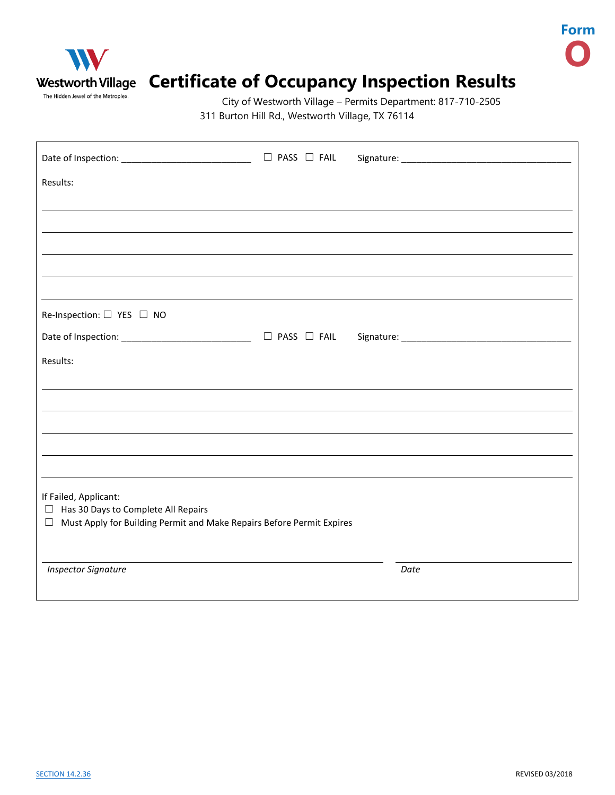

## Westworth Village Certificate of Occupancy Inspection Results

City of Westworth Village – Permits Department: 817-710-2505 311 Burton Hill Rd., Westworth Village, TX 76114

| Date of Inspection: ________________________________ □ PASS □ FAIL                                                                             |  |      |  |  |  |  |  |
|------------------------------------------------------------------------------------------------------------------------------------------------|--|------|--|--|--|--|--|
| Results:                                                                                                                                       |  |      |  |  |  |  |  |
|                                                                                                                                                |  |      |  |  |  |  |  |
|                                                                                                                                                |  |      |  |  |  |  |  |
|                                                                                                                                                |  |      |  |  |  |  |  |
|                                                                                                                                                |  |      |  |  |  |  |  |
| Re-Inspection: □ YES □ NO                                                                                                                      |  |      |  |  |  |  |  |
| Date of Inspection: ________________________________ □ PASS □ FAIL                                                                             |  |      |  |  |  |  |  |
| Results:                                                                                                                                       |  |      |  |  |  |  |  |
|                                                                                                                                                |  |      |  |  |  |  |  |
|                                                                                                                                                |  |      |  |  |  |  |  |
|                                                                                                                                                |  |      |  |  |  |  |  |
|                                                                                                                                                |  |      |  |  |  |  |  |
| If Failed, Applicant:<br>$\Box$ Has 30 Days to Complete All Repairs<br>□ Must Apply for Building Permit and Make Repairs Before Permit Expires |  |      |  |  |  |  |  |
|                                                                                                                                                |  |      |  |  |  |  |  |
| <b>Inspector Signature</b>                                                                                                                     |  | Date |  |  |  |  |  |

**Form**

**O**